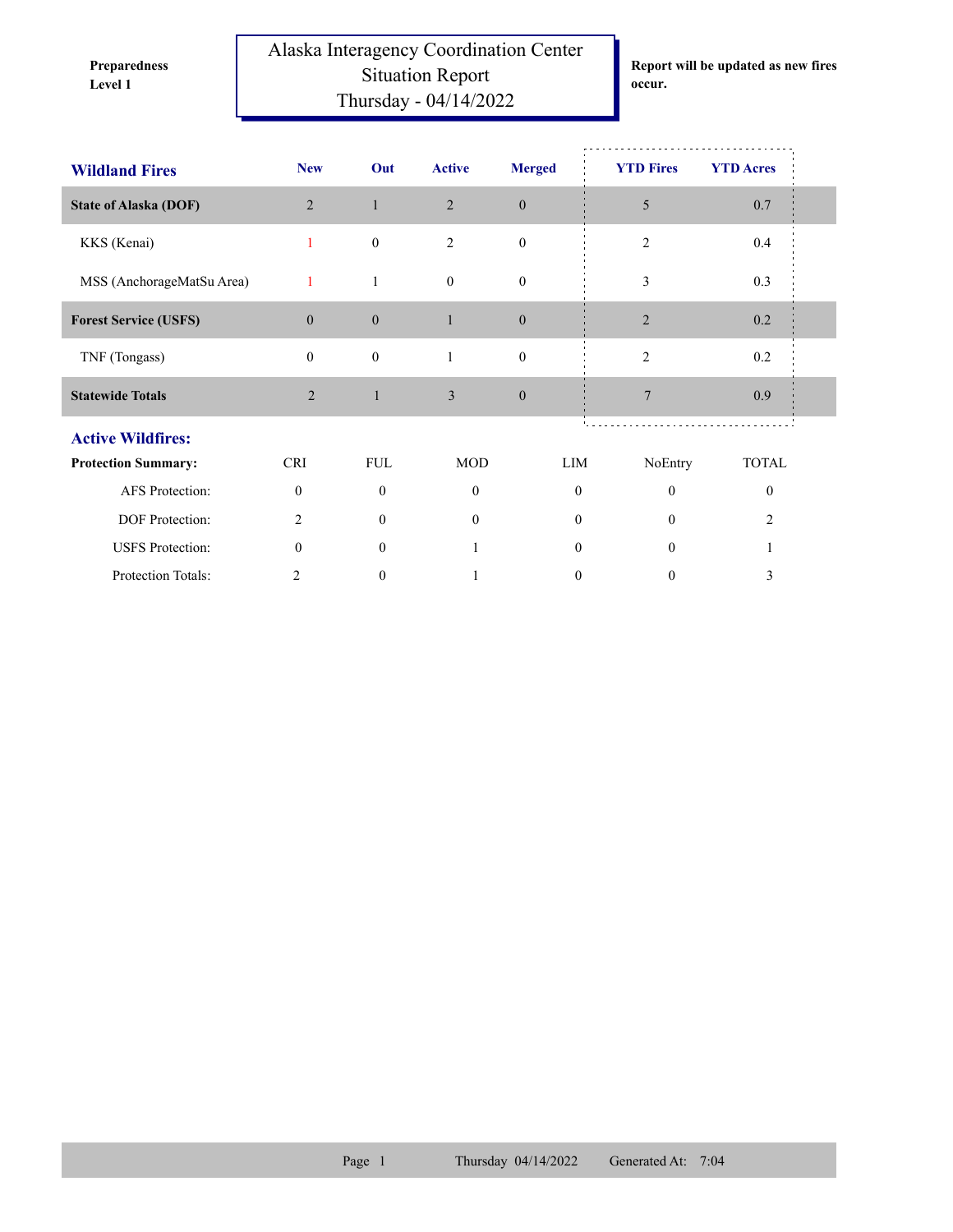**Preparedness** 

Alaska Interagency Coordination Center Situation Report **Level 1 occur.** Thursday - 04/14/2022

**Report will be updated as new fires** 

| <b>Wildland Fires</b>        | <b>New</b>       | Out              | <b>Active</b>  | <b>Merged</b>    | <b>YTD Fires</b> | <b>YTD Acres</b> |
|------------------------------|------------------|------------------|----------------|------------------|------------------|------------------|
| <b>State of Alaska (DOF)</b> | $\overline{2}$   | $\mathbf{1}$     | $\overline{2}$ | $\boldsymbol{0}$ | 5                | 0.7              |
| KKS (Kenai)                  | 1                | $\boldsymbol{0}$ | $\overline{2}$ | $\mathbf{0}$     | $\overline{2}$   | 0.4              |
| MSS (AnchorageMatSu Area)    | 1                | $\mathbf{1}$     | $\mathbf{0}$   | $\mathbf{0}$     | 3                | 0.3              |
| <b>Forest Service (USFS)</b> | $\boldsymbol{0}$ | $\boldsymbol{0}$ | $\mathbf{1}$   | $\boldsymbol{0}$ | $\overline{2}$   | $0.2\,$          |
| TNF (Tongass)                | $\mathbf{0}$     | $\boldsymbol{0}$ | $\mathbf{1}$   | $\boldsymbol{0}$ | $\overline{2}$   | 0.2              |
| <b>Statewide Totals</b>      | $\overline{2}$   | $\mathbf{1}$     | $\overline{3}$ | $\mathbf{0}$     | $\overline{7}$   | 0.9              |
| <b>Active Wildfires:</b>     |                  |                  |                |                  |                  |                  |
| <b>Protection Summary:</b>   | <b>CRI</b>       | <b>FUL</b>       | <b>MOD</b>     | LIM              | NoEntry          | <b>TOTAL</b>     |
| AFS Protection:              | $\theta$         | $\theta$         | $\Omega$       | $\mathbf{0}$     | $\theta$         | $\theta$         |
| DOF Protection:              | 2                | $\mathbf{0}$     | $\overline{0}$ | $\mathbf{0}$     | $\mathbf{0}$     | 2                |
| <b>USFS</b> Protection:      | $\theta$         | $\theta$         |                | $\Omega$         | $\theta$         |                  |
| Protection Totals:           | 2                | $\theta$         |                | 0                | 0                | 3                |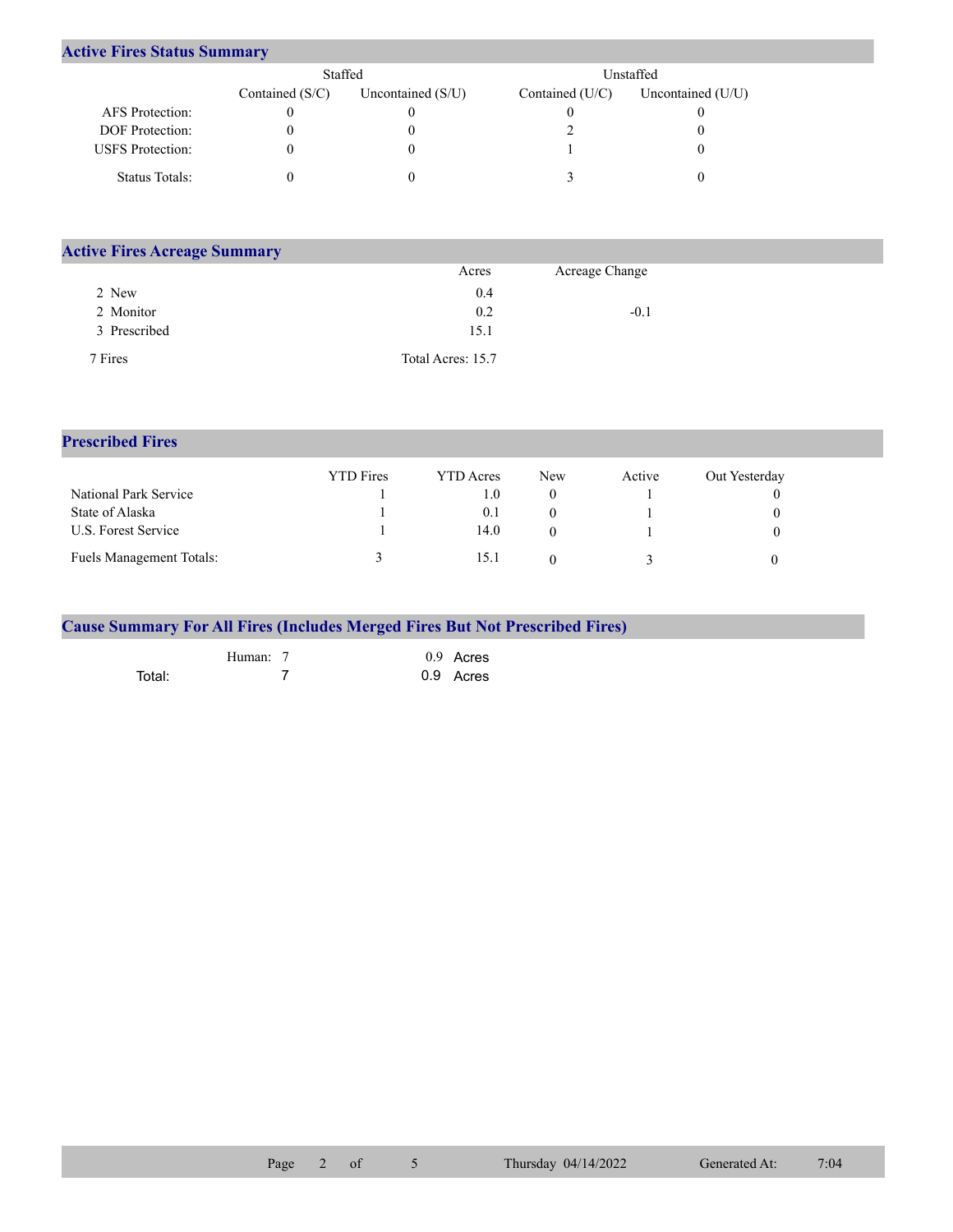|  |  |  | <b>Active Fires Status Summary</b> |
|--|--|--|------------------------------------|
|--|--|--|------------------------------------|

|                         | Staffed           |                     | Unstaffed         |                     |
|-------------------------|-------------------|---------------------|-------------------|---------------------|
|                         | Contained $(S/C)$ | Uncontained $(S/U)$ | Contained $(U/C)$ | Uncontained $(U/U)$ |
| AFS Protection:         |                   |                     |                   |                     |
| <b>DOF</b> Protection:  |                   |                     |                   |                     |
| <b>USFS</b> Protection: |                   |                     |                   |                     |
| Status Totals:          |                   |                     |                   |                     |

| <b>Active Fires Acreage Summary</b> |                   |                |  |
|-------------------------------------|-------------------|----------------|--|
|                                     | Acres             | Acreage Change |  |
| 2 New                               | 0.4               |                |  |
| 2 Monitor                           | 0.2               | $-0.1$         |  |
| 3 Prescribed                        | 15.1              |                |  |
| 7 Fires                             | Total Acres: 15.7 |                |  |

## **Prescribed Fires**

|                                 | <b>YTD</b> Fires | YTD Acres | <b>New</b> | Active | Out Yesterday |
|---------------------------------|------------------|-----------|------------|--------|---------------|
| National Park Service           |                  | (0, 1)    |            |        |               |
| State of Alaska                 |                  | 0.1       |            |        |               |
| U.S. Forest Service             |                  | 14.0      |            |        |               |
| <b>Fuels Management Totals:</b> |                  | 15.1      |            |        |               |

|        |          |  | <b>Cause Summary For All Fires (Includes Merged Fires But Not Prescribed Fires)</b> |  |
|--------|----------|--|-------------------------------------------------------------------------------------|--|
|        | Human: 7 |  | $0.9$ Acres                                                                         |  |
| Total: |          |  | 0.9 Acres                                                                           |  |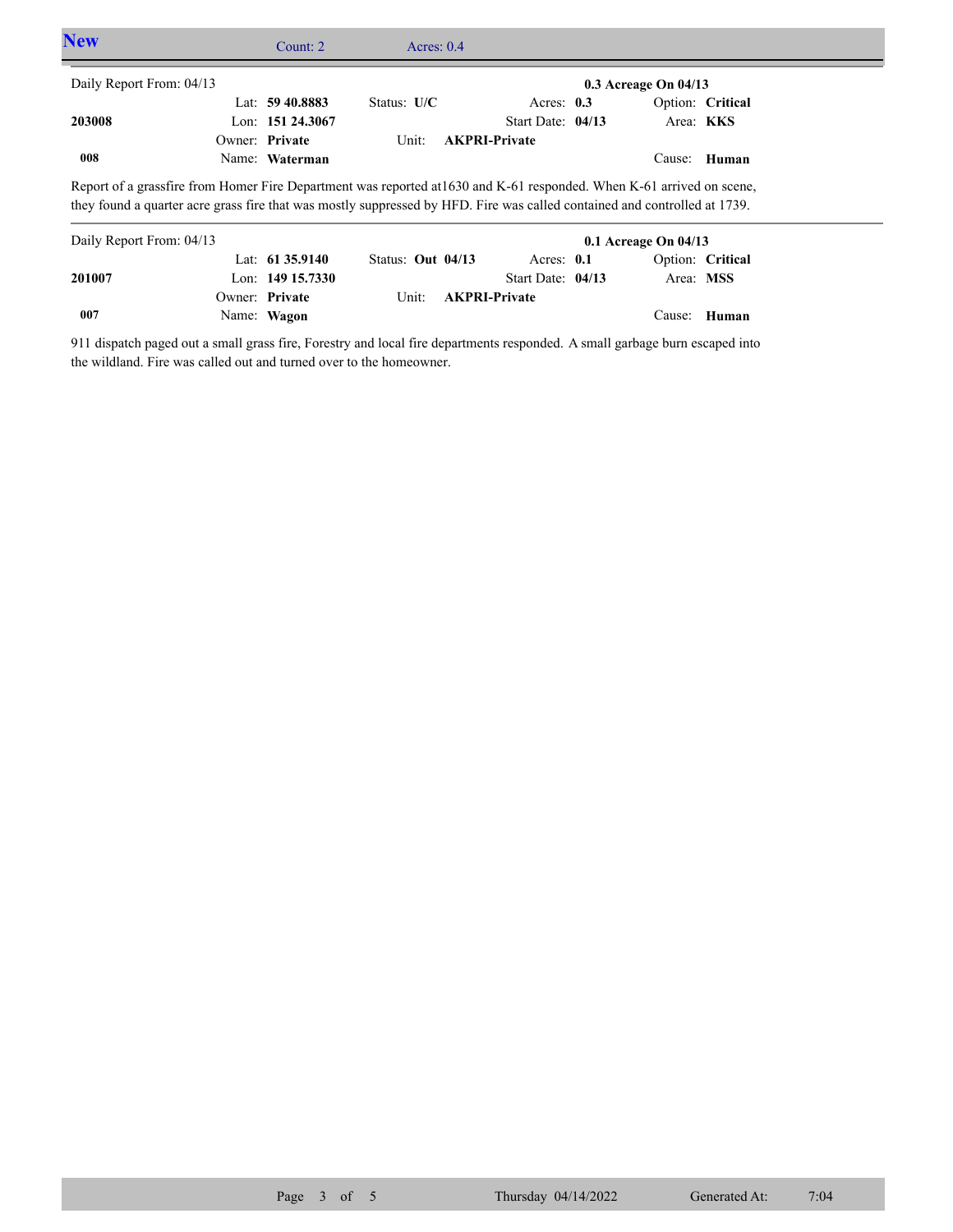| <b>New</b>                                                                                                                                                                                                                                         | Count: $2 \pi$     | Acres: $0.4$      |                      |                          |                  |  |
|----------------------------------------------------------------------------------------------------------------------------------------------------------------------------------------------------------------------------------------------------|--------------------|-------------------|----------------------|--------------------------|------------------|--|
| Daily Report From: 04/13                                                                                                                                                                                                                           |                    |                   |                      | $0.3$ Acreage On $04/13$ |                  |  |
|                                                                                                                                                                                                                                                    | Lat: 59 40.8883    | Status: $U/C$     | Acres: $0.3$         |                          | Option: Critical |  |
| 203008                                                                                                                                                                                                                                             | Lon: 151 24.3067   |                   | Start Date: 04/13    |                          | Area: KKS        |  |
|                                                                                                                                                                                                                                                    | Owner: Private     | Unit:             | <b>AKPRI-Private</b> |                          |                  |  |
| 008                                                                                                                                                                                                                                                | Name: Waterman     |                   |                      |                          | Cause: Human     |  |
| Report of a grassfire from Homer Fire Department was reported at 1630 and K-61 responded. When K-61 arrived on scene,<br>they found a quarter acre grass fire that was mostly suppressed by HFD. Fire was called contained and controlled at 1739. |                    |                   |                      |                          |                  |  |
| Daily Report From: 04/13                                                                                                                                                                                                                           |                    |                   |                      | $0.1$ Acreage On $04/13$ |                  |  |
|                                                                                                                                                                                                                                                    | Lat: 61 35.9140    | Status: Out 04/13 | Acres: $0.1$         |                          | Option: Critical |  |
| 201007                                                                                                                                                                                                                                             | Lon: $149$ 15.7330 |                   | Start Date: 04/13    |                          | Area: MSS        |  |
|                                                                                                                                                                                                                                                    | Owner: Private     | Unit:             | <b>AKPRI-Private</b> |                          |                  |  |

911 dispatch paged out a small grass fire, Forestry and local fire departments responded. A small garbage burn escaped into the wildland. Fire was called out and turned over to the homeowner.

Name: **Wagon**

**007**

Cause: **Human**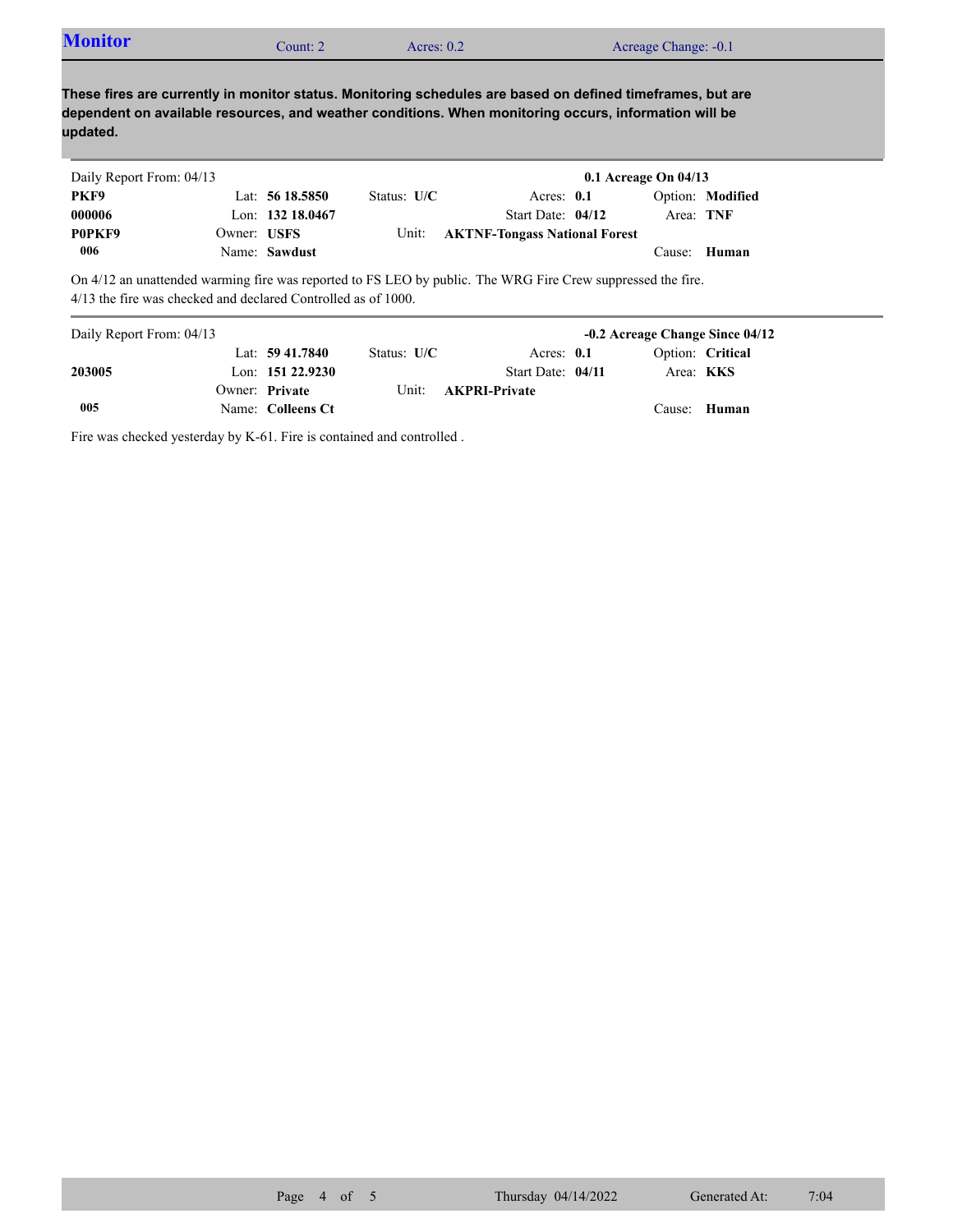| <b>Monitor</b><br>Acreage Change: -0.1<br>Acres: $0.2$<br>`ount: 2 |  |  |  |  |
|--------------------------------------------------------------------|--|--|--|--|
|--------------------------------------------------------------------|--|--|--|--|

**These fires are currently in monitor status. Monitoring schedules are based on defined timeframes, but are dependent on available resources, and weather conditions. When monitoring occurs, information will be updated.**

| Daily Report From: 04/13 |             |                  |               |                                      | 0.1 Acreage On $04/13$ |           |                  |
|--------------------------|-------------|------------------|---------------|--------------------------------------|------------------------|-----------|------------------|
| PKF9                     |             | Lat: $5618.5850$ | Status: $U/C$ | Acres: $0.1$                         |                        |           | Option: Modified |
| 000006                   |             | Lon: 132 18.0467 |               | Start Date: 04/12                    |                        | Area: TNF |                  |
| P0PKF9                   | Owner: USFS |                  | Unit:         | <b>AKTNF-Tongass National Forest</b> |                        |           |                  |
| 006                      |             | Name: Sawdust    |               |                                      |                        | Cause:    | <b>Human</b>     |

On 4/12 an unattended warming fire was reported to FS LEO by public. The WRG Fire Crew suppressed the fire. 4/13 the fire was checked and declared Controlled as of 1000.

| Daily Report From: 04/13 |                     |               |                      | -0.2 Acreage Change Since 04/12 |                  |
|--------------------------|---------------------|---------------|----------------------|---------------------------------|------------------|
|                          | Lat: $59\,41.7840$  | Status: $U/C$ | Acres: $0.1$         |                                 | Option: Critical |
| 203005                   | Lon: $151\,22.9230$ |               | Start Date: 04/11    | Area: <b>KKS</b>                |                  |
|                          | Owner: Private      | Unit:         | <b>AKPRI-Private</b> |                                 |                  |
| 005                      | Name: Colleens Ct   |               |                      |                                 | Cause: Human     |

Fire was checked yesterday by K-61. Fire is contained and controlled .